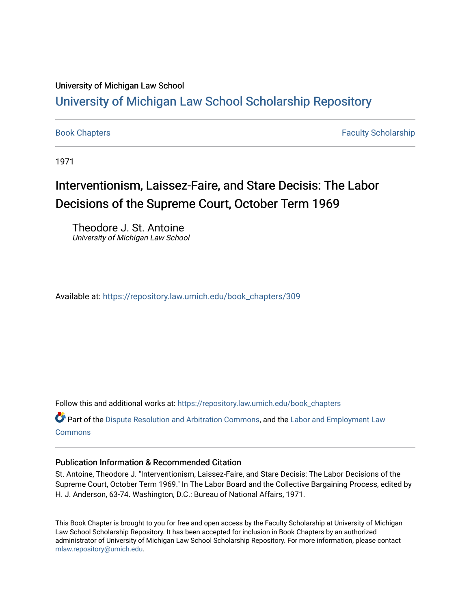#### University of Michigan Law School

## [University of Michigan Law School Scholarship Repository](https://repository.law.umich.edu/)

[Book Chapters](https://repository.law.umich.edu/book_chapters) Faculty Scholarship

1971

# Interventionism, Laissez-Faire, and Stare Decisis: The Labor Decisions of the Supreme Court, October Term 1969

Theodore J. St. Antoine University of Michigan Law School

Available at: [https://repository.law.umich.edu/book\\_chapters/309](https://repository.law.umich.edu/book_chapters/309) 

Follow this and additional works at: [https://repository.law.umich.edu/book\\_chapters](https://repository.law.umich.edu/book_chapters?utm_source=repository.law.umich.edu%2Fbook_chapters%2F309&utm_medium=PDF&utm_campaign=PDFCoverPages)

Part of the [Dispute Resolution and Arbitration Commons,](http://network.bepress.com/hgg/discipline/890?utm_source=repository.law.umich.edu%2Fbook_chapters%2F309&utm_medium=PDF&utm_campaign=PDFCoverPages) and the [Labor and Employment Law](http://network.bepress.com/hgg/discipline/909?utm_source=repository.law.umich.edu%2Fbook_chapters%2F309&utm_medium=PDF&utm_campaign=PDFCoverPages) **[Commons](http://network.bepress.com/hgg/discipline/909?utm_source=repository.law.umich.edu%2Fbook_chapters%2F309&utm_medium=PDF&utm_campaign=PDFCoverPages)** 

#### Publication Information & Recommended Citation

St. Antoine, Theodore J. "Interventionism, Laissez-Faire, and Stare Decisis: The Labor Decisions of the Supreme Court, October Term 1969." In The Labor Board and the Collective Bargaining Process, edited by H. J. Anderson, 63-74. Washington, D.C.: Bureau of National Affairs, 1971.

This Book Chapter is brought to you for free and open access by the Faculty Scholarship at University of Michigan Law School Scholarship Repository. It has been accepted for inclusion in Book Chapters by an authorized administrator of University of Michigan Law School Scholarship Repository. For more information, please contact [mlaw.repository@umich.edu.](mailto:mlaw.repository@umich.edu)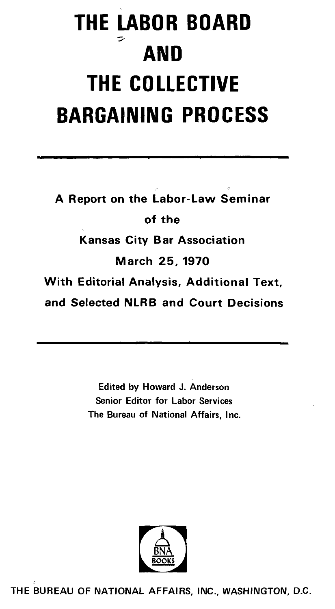# **THE LABOR BOARD AND THE COLLECTIVE BARGAINING PROCESS**

A Report on the Labor-Law Seminar of the Kansas City Bar Association March 25, 1970 With Editorial Analysis, Additional Text, and Selected **NLRB** and Court Decisions

> Edited by Howard J. Anderson Senior Editor for Labor Services The Bureau of National Affairs, Inc.



THE BUREAU OF NATIONAL AFFAIRS, INC., WASHINGTON, D.C.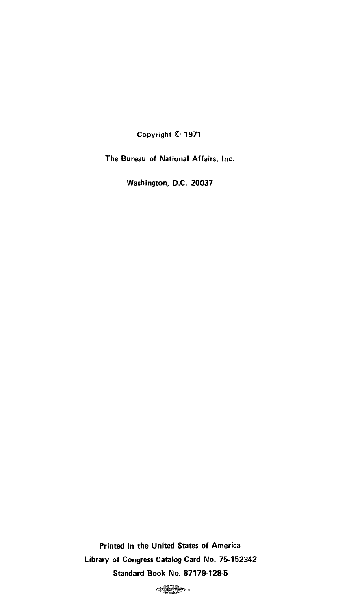Copyright© 1971

The Bureau of National Affairs, Inc.

Washington, D.C. 20037

Printed in the United States of America Library of Congress Catalog Card No. 75-152342 Standard Book No. 87179-128-5

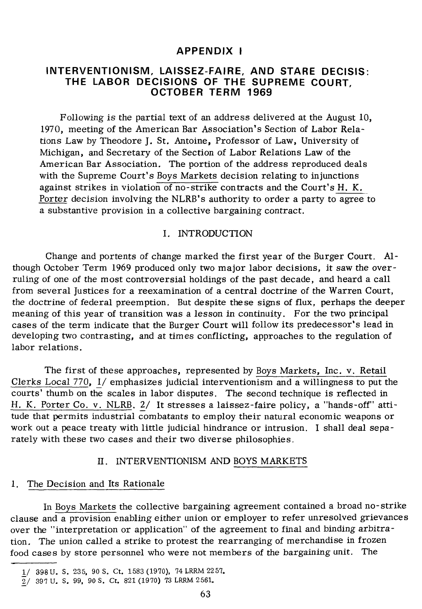#### **APPENDIX I**

#### **INTERVENTIONISM, LAISSEZ-FAIRE, AND STARE DECISIS: THE LABOR DECISIONS OF THE SUPREME COURT, OCTOBER TERM 1969**

Following is the partial text of an address delivered at the August 10, 1970, meeting of the American Bar Association's Section of Labor Relations Law by Theodore J. St. Antoine, Professor of Law, University of Michigan, and Secretary of the Section of Labor Relations Law of the American Bar Association. The portion of the address reproduced deals with the Supreme Court's Boys Markets decision relating to injunctions against strikes in violation of no-strike contracts and the Court's H. K. Porter decision involving the NLRB's authority to order a party to agree to a substantive provision in a collective bargaining contract.

#### I. INTRODUCTION

Change and portents of change marked the first year of the Burger Court. Although October Term 1969 produced only two major labor decisions, it saw the overruling of one of the most controversial holdings of the past decade, and heard a call from several Justices for a reexamination of a central doctrine of the Warren Court, the doctrine of federal preemption. But despite these signs of flux, perhaps the deeper meaning of this year of transition was a lesson in continuity. For the two principal cases of the term indicate that the Burger Court will follow its predecessor's lead in developing two contrasting, and at times conflicting, approaches to the regulation of labor relations.

The first of these approaches, represented by Boys Markets, Inc. v. Retail Clerks Local 770, 1/ emphasizes judicial interventionism and a willingness to put the courts' thumb on the scales in labor disputes. The second technique is reflected in H. K. Porter Co. v. NLRB. 2/ It stresses a laissez-faire policy, a "hands-off" attitude that permits industrial combatants to em ploy their natural economic weapons or work out a peace treaty with little judicial hindrance or intrusion. I shall deal separately with these two cases and their two diverse philosophies.

#### II. INTERVENTIONISM AND BOYS MARKETS

#### I. The Decision and Its Rationale

In Boys Markets the collective bargaining agreement contained a broad no-strike clause and a provision enabling either union or employer to refer unresolved grievances over the "interpretation or application" of the agreement to final and binding arbitration. The union called a strike to protest the rearranging of merchandise in frozen food cases by store personnel who were not members of the bargaining unit. The

<sup>1/ 398</sup> U.S. 235, 90 S.Ct. 1583 (1970), 74 LRRM 2257.

*<sup>&#</sup>x27;]:\_/* 397 U. S. 99, 90 S. Ct. 821 (1970) 73 LRRM 2561.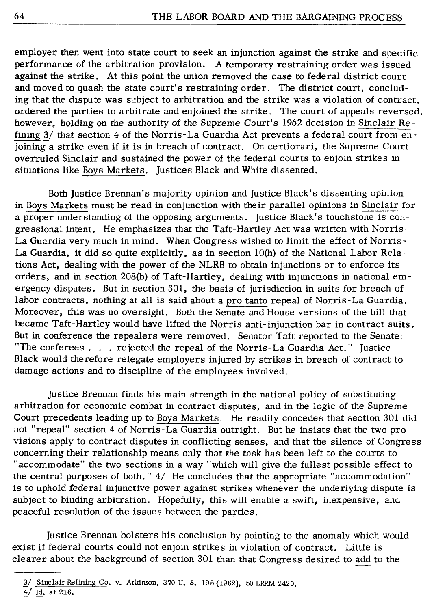employer then went into state court to seek an injunction against the strike and specific performance of the arbitration provision. A temporary restraining order was issued against the strike. At this point the union removed the case to federal district court and moved to quash the state court's restraining order. The district court, concluding that the dispute was subject to arbitration and the strike was a violation of contract, ordered the parties to arbitrate and enjoined the strike. The court of appeals reversed, however, holding on the authority of the Supreme Court's 1962 decision in Sinclair Refining  $3/$  that section 4 of the Norris-La Guardia Act prevents a federal court from enjoining a strike even if it is in breach of contract. On certiorari, the Supreme Court overruled Sinclair and sustained the power of the federal courts to enjoin strikes in situations like Boys Markets. Justices Black and White dissented.

Both Justice Brennan's majority opinion and Justice Black's dissenting opinion in Boys Markets must be read in conjunction with their parallel opinions in Sinclair for a proper understanding of the opposing arguments. Justice Black's touchstone is congressional intent. He emphasizes that the Taft-Hartley Act was written with Norris-La Guardia very much in mind. When Congress wished to limit the effect of Norris-La Guardia, it did so quite explicitly, as in section  $10(h)$  of the National Labor Relations Act, dealing with the power of the NLRB to obtain injunctions or to enforce its orders, and in section 208(b) of Taft-Hartley, dealing with injunctions in national emergency disputes. But in section 301, the basis of jurisdiction in suits for breach of labor contracts, nothing at all is said about a pro tanto repeal of Norris-La Guardia. Moreover, this was no oversight. Both the Senate and House versions of the bill that became Taft-Hartley would have lifted the Norris anti-injunction bar in contract suits. But in conference the repealers were removed. Senator Taft reported to the Senate: "The conferees ... rejected the repeal of the Norris-La Guardia Act." Justice Black would therefore relegate employers injured by strikes in breach of contract to damage actions and to discipline of the employees involved.

Justice Brennan finds his main strength in the national policy of substituting arbitration for economic combat in contract disputes, and in the logic of the Supreme Court precedents leading up to Boys Markets. He readily concedes that section 301 did not "repeal" section 4 of Norris-La Guardia outright. But he insists that the two provisions apply to contract disputes in conflicting senses, and that the silence of Congress concerning their relationship means only that the task has been left to the courts to "accommodate" the two sections in a way "which will give the fullest possible effect to the central purposes of both." 4/ He concludes that the appropriate "accommodation" is to uphold federal injunctive power against strikes whenever the underlying dispute is subject to binding arbitration. Hopefully, this will enable a swift, inexpensive, and peaceful resolution of the issues between the parties.

Justice Brennan bolsters his conclusion by pointing to the anomaly which would exist if federal courts could not enjoin strikes in violation of contract. Little is clearer about the background of section 301 than that Congress desired to add to the

<sup>3/</sup> Sinclair Refining Co. v. Atkinson, 370 U. S. 195 (1962), 50 LRRM 2420.

<sup>4/</sup> Id. at 216.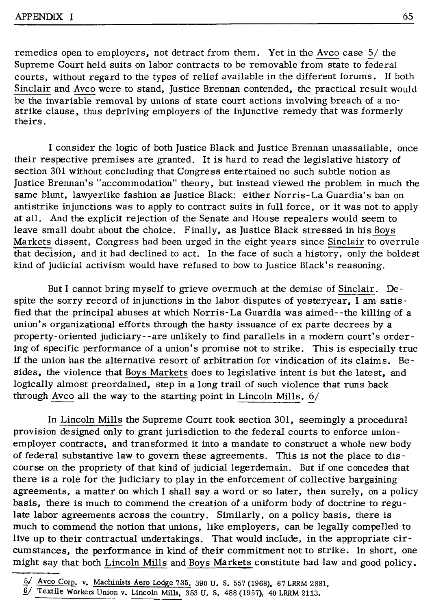remedies open to employers, not detract from them. Yet in the Avco case  $5/$  the Supreme Court held suits on labor contracts to be removable from state to federal courts, without regard to the types of relief available in the different forums. If both Sinclair and Avco were to stand, Justice Brennan contended, the practical result would be the invariable removal by unions of state court actions involving breach of a nostrike clause, thus depriving employers of the injunctive remedy that was formerly theirs.

I consider the logic of both Justice Black and Justice Brennan unassailable, once their respective premises are granted. It is hard to read the legislative history of section 301 without concluding that Congress entertained no such subtle notion as Justice Brennan's "accommodation" theory, but instead viewed the problem in much the same blunt, lawyerlike fashion as Justice Black: either Norris-La Guardia's ban on antistrike injunctions was to apply to contract suits in full force, or it was not to apply at all. And the explicit rejection of the Senate and House repealers would seem to leave small doubt about the choice. Finally, as Justice Black stressed in his Boys Markets dissent, Congress had been urged in the eight years since Sinclair to overrule that decision, and it had declined to act. In the face of such a history, only the boldest kind of judicial activism would have refused to bow to Justice Black's reasoning.

But I cannot bring myself to grieve overmuch at the demise of Sinclair. Despite the sorry record of injunctions in the labor disputes of yesteryear, I am satisfied that the principal abuses at which Norris-La Guardia was aimed- -the killing of a union's organizational efforts through the hasty issuance of ex parte decrees by a property-oriented judiciary--are unlikely to find parallels in a modern court's ordering of specific performance of a union's promise not to strike. This is especially true if the union has the alternative resort of arbitration for vindication of its claims. Besides, the violence that Boys Markets does to legislative intent is but the latest, and logically almost preordained, step in a long trail of such violence that runs back through Avco all the way to the starting point in Lincoln Mills.  $6/$ 

In Lincoln Mills the Supreme Court took section 301, seemingly a procedural provision designed only to grant jurisdiction to the federal courts to enforce unionemployer contracts, and transformed it into a mandate to construct a whole new body of federal substantive law to govern these agreements. This is not the place to discourse on the propriety of that kind of judicial legerdemain. But if one concedes that there is a role for the judiciary to play in the enforcement of collective bargaining agreements, a matter on which I shall say a word or so later, then surely, on a policy basis, there is much to commend the creation of a uniform body of doctrine to regulate labor agreements across the country. Similarly, on a policy basis, there is much to commend the notion that unions, like employers, can be legally compelled to live up to their contractual undertakings. That would include, in the appropriate circumstances, the performance in kind of their commitment not to strike. In short, one might say that both Lincoln Mills and Boys Markets constitute bad law and good policy.

*<sup>!</sup>Y* Avco Corp. v. Machinists Aero Lodge 735, 390 u. s. 557 (1968), 67 LRRM 2881.

 $6/$  Textile Workers Union v. Lincoln Mills, 353 U.S. 488 (1957), 40 LRRM 2113.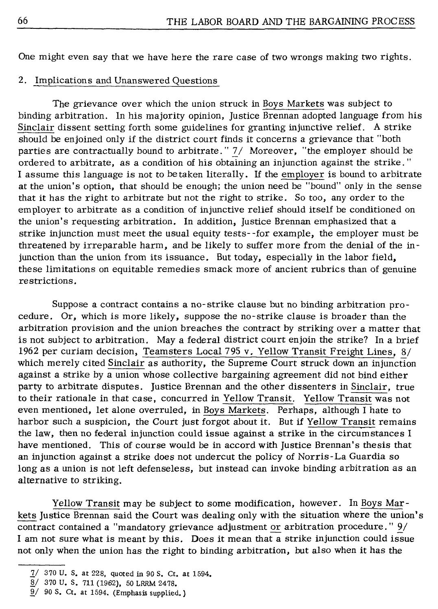One might even say that we have here the rare case of two wrongs making two rights.

#### 2. Implications and Unanswered Questions

The grievance over which the union struck in Boys Markets was subject to binding arbitration. In his majority opinion, Justice Brennan adopted language from his Sinclair dissent setting forth some guidelines for granting injunctive relief. A strike should be enjoined only if the district court finds it concerns a grievance that "both parties are contractually bound to arbitrate." *7./* Moreover, "the employer should be ordered to arbitrate, as a condition of his obtaining an injunction against the strike." I assume this language is not to betaken literally. If the employer is bound to arbitrate at the union's option, that should be enough; the union need be "bound" only in the sense that it has the right to arbitrate but not the right to strike. So too, any order to the employer to arbitrate as a condition of injunctive relief should itself be conditioned on the union's requesting arbitration. In addition, Justice Brennan emphasized that a strike injunction must meet the usual equity tests- -for example, the employer must be threatened by irreparable harm, and be likely to suffer more from the denial of the injunction than the union from its issuance. But today, especially in the labor field, these limitations on equitable remedies smack more of ancient rubrics than of genuine restrictions.

Suppose a contract contains a no-strike clause but no binding arbitration procedure. Or, which is more likely, suppose the no-strike clause is broader than the arbitration provision and the union breaches the contract by striking over a matter that is not subject to arbitration. May a federal district court enjoin the strike? In a brief 1962 per curiam decision, Teamsters Local 795 v. Yellow Transit Freight Lines, 8/ which merely cited Sinclair as authority, the Supreme Court struck down an injunction against a strike by a union whose collective bargaining agreement did not bind either party to arbitrate disputes. Justice Brennan and the other dissenters in Sinclair, true to their rationale in that case, concurred in Yellow Transit. Yellow Transit was not even mentioned, let alone overruled, in Boys Markets. Perhaps, although I hate to harbor such a suspicion, the Court just forgot about it. But if Yellow Transit remains the law, then no federal injunction could issue against a strike in the circumstances I have mentioned. This of course would be in accord with Justice Brennan's thesis that an injunction against a strike does not undercut the policy of Norris-La Guardia so long as a union is not left defenseless, but instead can invoke binding arbitration as an alternative to striking.

Yellow Transit may be subject to some modification, however. In Boys Markets Justice Brennan said the Court was dealing only with the situation where the union's contract contained a "mandatory grievance adjustment or arbitration procedure."  $9/$ I am not sure what is meant by this. Does it mean that a strike injunction could issue not only when the union has the right to binding arbitration, but also when it has the

 $1/$  370 U.S. at 228, quoted in 90 S. Ct. at 1594.

<sup>.§./ 370</sup> U. S. 711 (1962), 50 LRRM 2478.

 $9/90$  S. Ct. at 1594. (Emphasis supplied.)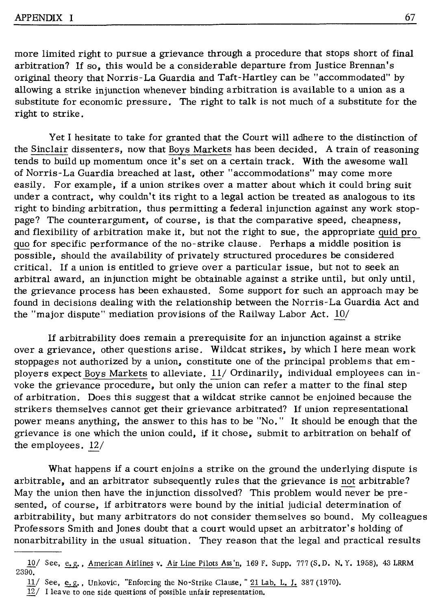more limited right to pursue a grievance through a procedure that stops short of final arbitration? If so, this would be a considerable departure from Justice Brennan's original theory that Norris-La Guardia and Taft-Hartley can be "accommodated" by allowing a strike injunction whenever binding arbitration is available to a union as a substitute for economic pressure. The right to talk is not much of a substitute for the right to strike.

Yet I hesitate to take for granted that the Court will adhere to the distinction of the Sinclair dissenters, now that Boys Markets has been decided. A train of reasoning tends to build up momentum once it's set on a certain track. With the awesome wall of Norris-La Guardia breached at last, other "accommodations" may come more easily. For example, if a union strikes over a matter about which it could bring suit under a contract, why couldn't its right to a legal action be treated as analogous to its right to binding arbitration, thus permitting a federal injunction against any work stoppage? The counterargument, of course, is that the comparative speed, cheapness, and flexibility of arbitration make it, but not the right to sue, the appropriate quid pro quo for specific performance of the no-strike clause. Perhaps a middle position is possible, should the availability of privately structured procedures be considered critical. If a union is entitled to grieve over a particular issue, but not to seek an arbitral award, an injunction might be obtainable against a strike until, but only until, the grievance process has been exhausted. Some support for such an approach may be found in decisions dealing with the relationship between the Norris-La Guardia Act and the "major dispute" mediation provisions of the Railway Labor Act.  $10/$ 

If arbitrability does remain a prerequisite for an injunction against a strike over a grievance, other questions arise. Wildcat strikes, by which I here mean work stoppages not authorized by a union, constitute one of the principal problems that employers expect Boys Markets to alleviate.  $11/$  Ordinarily, individual employees can invoke the grievance procedure, but only the union can refer a matter to the final step of arbitration. Does this suggest that a wildcat strike cannot be enjoined because the strikers themselves cannot get their grievance arbitrated? If union representational power means anything, the answer to this has to be "No." It should be enough that the grievance is one which the union could, if it chose, submit to arbitration on behalf of the employees.  $12/$ 

What happens if a court enjoins a strike on the ground the underlying dispute is arbitrable, and an arbitrator subsequently rules that the grievance is not arbitrable? May the union then have the injunction dissolved? This problem would never be presented, of course, if arbitrators were bound by the initial judicial determination of arbitrability, but many arbitrators do not consider themselves so bound. My colleagues Professors Smith and Jones doubt that a court would upset an arbitrator's holding of nonarbitrability in the usual situation. They reason that the legal and practical results

 $10/$  See, e.g., American Airlines v. Air Line Pilots Ass'n, 169 F. Supp. 777 (S.D. N.Y. 1958), 43 LRRM 2390.

 $11/$  See, e.g., Unkovic, "Enforcing the No-Strike Clause," 21 Lab. L. J. 387 (1970).

 $12/$  I leave to one side questions of possible unfair representation.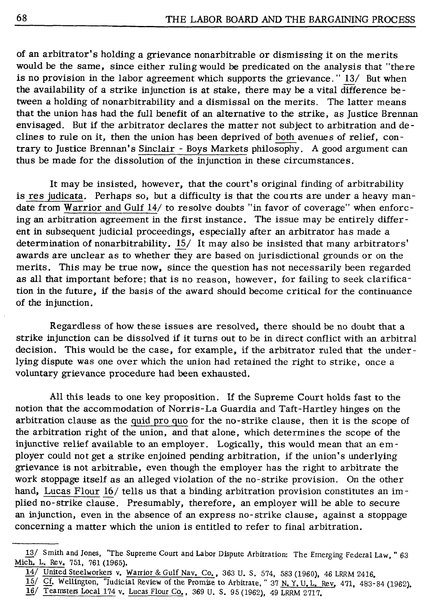of an arbitrator's holding a grievance nonarbitrable or dismissing it on the merits would be the same, since either ruling would be predicated on the analysis that "there is no provision in the labor agreement which supports the grievance. " $13/$  But when the availability of a strike injunction is at stake, there may be a vital difference be tween a holding of nonarbitrability and a dismissal on the merits. The latter means that the union has had the full benefit of an alternative to the strike, as Justice Brennan envisaged. But if the arbitrator declares the matter not subject to arbitration and declines to rule on it, then the union has been deprived of both avenues of relief, contrary to Justice Brennan's Sinclair - Boys Markets philosophy. A good argument can thus be made for the dissolution of the injunction in these circumstances.

It may be insisted, however, that the court's original finding of arbitrability is res judicata. Perhaps so, but a difficulty is that the courts are under a heavy mandate from Warrior and Gulf 14/ to resolve doubts "in favor of coverage" when enforcing an arbitration agreement in the first instance. The issue may be entirely different in subsequent judicial proceedings, especially after an arbitrator has made a determination of nonarbitrability. 15/ It may also be insisted that many arbitrators' awards are unclear as to whether they are based on jurisdictional grounds or on the merits. This may be true now, since the question has not necessarily been regarded as all that important before; that is no reason, however, for failing to seek clarification in the future, if the basis of the award should become critical for the continuance of the injunction.

Regardless of how these issues are resolved, there should be no doubt that a strike injunction can be dissolved if it turns out to be in direct conflict with an arbitral decision. This would be the case, for example, if the arbitrator ruled that the underlying dispute was one over which the union had retained the right to strike, once a voluntary grievance procedure had been exhausted.

All this leads to one key proposition. If the Supreme Court holds fast to the notion that the accommodation of Norris-La Guardia and Taft-Hartley hinges on the arbitration clause as the quid pro quo for the no-strike clause, then it is the scope of the arbitration right of the union, and that alone, which determines the scope of the injunctive relief available to an employer. Logically, this would mean that an em ployer could not get a strike enjoined pending arbitration, if the union's underlying grievance is not arbitrable, even though the employer has the right to arbitrate the work stoppage itself as an alleged violation of the no-strike provision. On the other hand, Lucas Flour 16/ tells us that a binding arbitration provision constitutes an implied no-strike clause. Presumably, therefore, an employer will be able to secure an injunction, even in the absence of an express no-strike clause, against a stoppage concerning a matter which the union is entitled to refer to final arbitration.

*<sup>11./</sup>* Smith and Jones, "The Supreme Court and Labor Dispute Arbitration: The Emerging Federal Law, " 63 Mich, L. Rev, 751, 761 (1965).

<sup>14/</sup> United Steelworkers v, Warrior & Gulf Nav. Co., 363 U. s. 574, 583 (1960), 46 LRRM 2416,

<sup>15/</sup> Cf. Wellington, "Judicial Review of the Promise to Arbitrate, " 37 N.Y.U.L. Rev. 471, 483-84 (1962).

<sup>16/</sup> Teamsters Local 174 v. Lucas Flour Co., 369 U. S. 95 (1962), 49 LRRM 2717.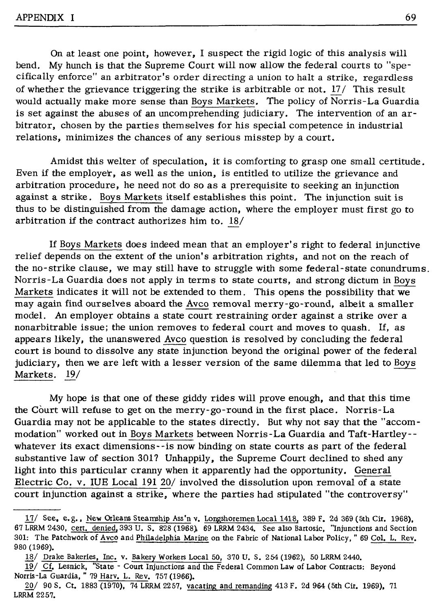On at least one point, however, I suspect the rigid logic of this analysis will bend. My hunch is that the Supreme Court will now allow the federal courts to "specifically enforce" an arbitrator's order directing a union to halt a strike, regardless of whether the grievance triggering the strike is arbitrable or not.  $17/$  This result would actually make more sense than Boys Markets. The policy of Norris-La Guardia is set against the abuses of an uncomprehending judiciary. The intervention of an arbitrator, chosen by the parties themselves for his special competence in industrial relations, minimizes the chances of any serious misstep by a court.

Amidst this welter of speculation, it is comforting to grasp one small certitude. Even if the employer, as well as the union, is entitled to utilize the grievance and arbitration procedure, he need not do so as a prerequisite to seeking an injunction against a strike. Boys Markets itself establishes this point. The injunction suit is thus to be distinguished from the damage action, where the employer must first go to arbitration if the contract authorizes him to. 18/

If Boys Markets does indeed mean that an employer's right to federal injunctive relief depends on the extent of the union's arbitration rights, and not on the reach of the no-strike clause, we may still have to struggle with some federal-state conundrums. Norris-La Guardia does not apply in terms to state courts, and strong dictum in Boys Markets indicates it will not be extended to them. This opens the possibility that we may again find ourselves aboard the Avco removal merry-go-round, albeit a smaller model. An employer obtains a state court restraining order against a strike over a nonarbitrable issue; the union removes to federal court and moves to quash. If, as appears likely, the unanswered Avco question is resolved by concluding the federal court is bound to dissolve any state injunction beyond the original power of the federal judiciary, then we are left with a lesser version of the same dilemma that led to Boys Markets. 19/

My hope is that one of these giddy rides will prove enough, and that this time the Court will refuse to get on the merry-go-round in the first place. Norris-La Guardia may not be applicable to the states directly. But why not say that the "accom modation" worked out in Boys Markets between Norris-La Guardia and Taft-Hartley- whatever its exact dimensions- -is now binding on state courts as part of the federal substantive law of section 301? Unhappily, the Supreme Court declined to shed any light into this particular cranny when it apparently had the opportunity. General Electric Co. v. IUE Local 191 20/ involved the dissolution upon removal of a state court injunction against a strike, where the parties had stipulated "the controversy"

 $17/$  See, e.g., New Orleans Steamship Ass'n v. Longshoremen Local 1418, 389 F. 2d 369 (5th Cir. 1968). 67 LRRM 2430, cert. denied, 393 U. S. 828 (1968), 69 **LRRM** 2434, See also Bartosic, "Injunctions and Section 301: The Patchwork of Avco and Philadelphia Marine on the Fabric of National Labor Policy, " 69 Col. L. Rev. 980 (1969),

<sup>18/</sup> Drake Bakeries, Inc, v. Bakery Workers Local 50, 370 U, S. 254 (1962), 50 LRRM 2440.

<sup>19/</sup> Cf. Lesnick, "State - Court Injunctions and the Federal Common Law of Labor Contracts: Beyond Norris-La Guardia, " 79 Harv. L. Rev. 757 (1966),

<sup>20/ 90</sup> S, Ct. 1883 (1970), 74 LRRM 2257, vacating and remanding 413 F. 2d 964 (5th Cir. 1969), 71 LRRM 2257,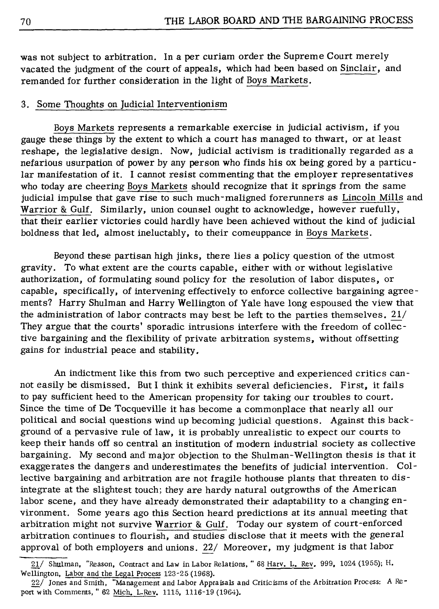was not subject to arbitration. In a per curiam order the Supreme Court merely vacated the judgment of the court of appeals, which had been based on Sinclair, and remanded for further consideration in the light of Boys Markets.

#### 3. Some Thoughts on Judicial Interventionism

Boys Markets represents a remarkable exercise in judicial activism, if you gauge these things by the extent to which a court has managed to thwart, or at least reshape, the legislative design. Now, judicial activism is traditionally regarded as a nefarious usurpation of power by any person who finds his ox being gored by a particu lar manifestation of it. I cannot resist commenting that the employer representatives who today are cheering Boys Markets should recognize that it springs from the same judicial impulse that gave rise to such much-maligned forerunners as Lincoln Mills and Warrior & Gulf. Similarly, union counsel ought to acknowledge, however ruefully, that their earlier victories could hardly have been achieved without the kind of judicial boldness that led, almost ineluctably, to their comeuppance in Boys Markets.

Beyond these partisan high jinks, there lies a policy question of the utmost gravity. To what extent are the courts capable, either with or without legislative authorization, of formulating sound policy for the resolution of labor disputes, or capable, specifically, of intervening effectively to enforce collective bargaining agreements? Harry Shulman and Harry Wellington of Yale have long espoused the view that the administration of labor contracts may best be left to the parties themselves. 21/ They argue that the courts' sporadic intrusions interfere with the freedom of collective bargaining and the flexibility of private arbitration systems, without offsetting gains for industrial peace and stability.

An indictment like this from two such perceptive and experienced critics cannot easily be dismissed. But I think it exhibits several deficiencies. First, it fails to pay sufficient heed to the American propensity for taking our troubles to court. Since the time of De Tocqueville it has become a commonplace that nearly all our political and social questions wind up becoming judicial questions. Against this background of a pervasive rule of law, it is probably unrealistic to expect our courts to keep their hands off so central an institution of modern industrial society as collective bargaining. My second and' major objection to the Shulman-Wellington thesis is that it exaggerates the dangers and underestimates the benefits of judicial intervention. Collective bargaining and arbitration are not fragile hothouse plants that threaten to disintegrate at the slightest touch; they are hardy natural outgrowths of the American labor scene, and they have already demonstrated their adaptability to a changing environment. Some years ago this Section heard predictions at its annual meeting that arbitration might not survive Warrior & Gulf. Today our system of court-enforced arbitration continues to flourish, and studies disclose that it meets with the general approval of both employers and unions. 22/ Moreover, my judgment is that labor

<sup>21/</sup> Shulman, "Reason, Contract and Law in Labor Relations," 68 Harv. L. Rev. 999, 1024 (1955); H. Wellington, Labor and the Legal Process 123-25 (1968).

<sup>22/</sup> Jones and Smith, "'Management and Labor Appraisals and Criticisms of the Arbitration Process: A Report with Comments, " 62 Mich. L.Rev. 1115, 1116-19 (1964).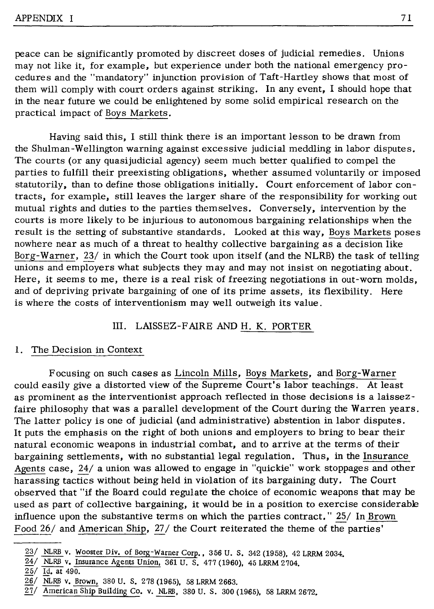peace can be significantly promoted by discreet doses of judicial remedies. Unions may not like it, for example, but experience under both the national emergency procedures and the "mandatory" injunction provision of Taft-Hartley shows that most of them will comply with court orders against striking. In any event, I should hope that in the near future we could be enlightened by some solid empirical research on the practical impact of Boys Markets.

Having said this, I still think there is an important lesson to be drawn from the Shulman-Wellington warning against excessive judicial meddling in labor disputes. The courts (or any quasijudicial agency) seem much better qualified to compel the parties to fulfill their preexisting obligations, whether assumed voluntarily or imposed statutorily, than to define those obligations initially. Court enforcement of labor con tracts, for example, still leaves the larger share of the responsibility for working out mutual rights and duties to the parties themselves. Conversely, intervention by the courts is more likely to be injurious to autonomous bargaining relationships when the result is the setting of substantive standards. Looked at this way, Boys Markets poses nowhere near as much of a threat to healthy collective bargaining as a decision like Borg-Warner, 23/ in which the Court took upon itself (and the NLRB) the task of telling unions and employers what subjects they may and may not insist on negotiating about. Here, it seems to me, there is a real risk of freezing negotiations in out-worn molds, and of depriving private bargaining of one of its prime assets, its flexibility. Here is where the costs of interventionism may well outweigh its value.

#### III. LAISSEZ-FAIRE AND H. K. PORTER

#### 1. The Decision in Context

Focusing on such cases as Lincoln Mills, Boys Markets, and Borg-Warner could easily give a distorted view of the Supreme Court's labor teachings. At least as prominent as the interventionist approach reflected in those decisions is a laissezfaire philosophy that was a parallel development of the Court during the Warren years. The latter policy is one of judicial (and administrative) abstention in labor disputes. It puts the emphasis on the right of both unions and employers to bring to bear their natural economic weapons in industrial combat, and to arrive at the terms of their bargaining settlements, with no substantial legal regulation. Thus, in the Insurance Agents case, 24/ a union was allowed to engage in "quickie" work stoppages and other harassing tactics without being held in violation of its bargaining duty. The Court observed that "if the Board could regulate the choice of economic weapons that may be used as part of collective bargaining, it would be in a position to exercise considerable influence upon the substantive terms on which the parties contract." 25/ In Brown Food 26/ and American Ship, 27/ the Court reiterated the theme of the parties'

 $23/$  NLRB v. Wooster Div. of Borg-Warner Corp., 356 U. S. 342 (1958), 42 LRRM 2034.

<sup>24/</sup> NLRB v. Insurance Agents Union, 361 U. s. 477 (1960), 45 LRRM 2704.

<sup>25/</sup> Id. at 490.

<sup>26/</sup> NLRB v. Brown, 380 U. S. 278 (1965), 58 LRRM 2663.

<sup>27/</sup> American Ship Building Co. v. NLRB, 380 U. S. 300 (1965), 58 LRRM 2672.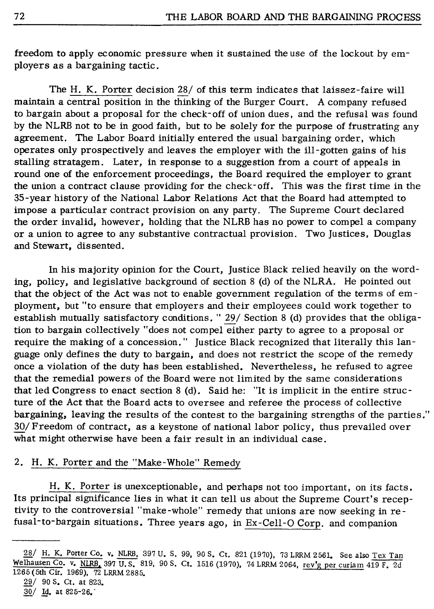freedom to apply economic pressure when it sustained the use of the lockout by employers as a bargaining tactic.

The H. K. Porter decision 28/ of this term indicates that laissez-faire will maintain a central position in the thinking of the Burger Court. A company refused to bargain about a proposal for the check-off of union dues, and the refusal was found by the NLRB not to be in good faith, but to be solely for the purpose of frustrating any agreement. The Labor Board initially entered the usual bargaining order, which operates only prospectively and leaves the employer with the ill-gotten gains of his stalling stratagem. Later, in response to a suggestion from a court of appeals in round one of the enforcement proceedings, the Board required the employer to grant the union a contract clause providing for the check- off. This was the first time in the 35-year history of the National Labor Relations Act that the Board had attempted to impose a particular contract provision on any party. The Supreme Court declared the order invalid, however, holding that the NLRB has no power to compel a company or a union to agree to any substantive contractual provision. Two Justices, Douglas and Stewart, dissented.

In his majority opinion for the Court, Justice Black relied heavily on the wording, policy, and legislative background of section 8 (d) of the NLRA. He pointed out that the object of the Act was not to enable government regulation of the terms of em ployment, but "to ensure that employers and their employees could work together to establish mutually satisfactory conditions. " 29/ Section 8 (d) provides that the obligation to bargain collectively "does not compel either party to agree to a proposal or require the making of a concession." Justice Black recognized that literally this language only defines the duty to bargain, and does not restrict the scope of the remedy once a violation of the duty has been established. Nevertheless, he refused to agree that the remedial powers of the Board were not limited by the same considerations that led Congress to enact section 8 (d). Said he: "It is implicit in the entire structure of the Act that the Board acts to oversee and referee the process of collective bargaining, leaving the results of the contest to the bargaining strengths of the parties." 30/ Freedom of contract, as a keystone of national labor policy, thus prevailed over what might otherwise have been a fair result in an individual case.

### 2. H. K. Porter and the "Make-Whole" Remedy

H. K. Porter is unexceptionable, and perhaps not too important, on its facts. Its principal significance lies in what it can tell us about the Supreme Court's receptivity to the controversial "make-whole" remedy that unions are now seeking in refusal-to-bargain situations. Three years ago, in Ex-Cell-O Corp. and companion

- 29/ 90 s. Ct. at 823.
- $30/$  Id. at 825-26.

<sup>28/</sup> H. K. Porter Co. v. NLRB, 397 U. S. 99, 90 S. Ct. 821 (1970), 73 LRRM 2561. See also Tex Tan Welhausen Co. v. NLRB. 397 U. s. 819, 90 S. Ct. 1516 (1970), 74 LRRM 2064, rev'g per curiam 419 F. 2d 1265 (5th Cir. 1969), 72 LRRM 2885.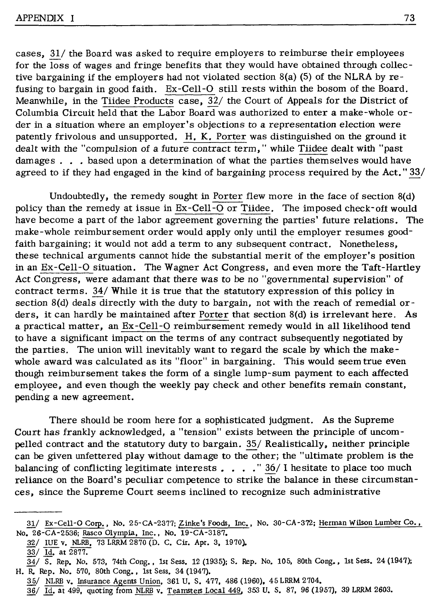cases,  $31/$  the Board was asked to require employers to reimburse their employees for the loss of wages and fringe benefits that they would have obtained through collective bargaining if the employers had not violated section 8(a) (5) of the NLRA by refusing to bargain in good faith. Ex-Cell-O still rests within the bosom of the Board. Meanwhile, in the Tiidee Products case, 32/ the Court of Appeals for the District of Columbia Circuit held that the Labor Board was authorized to enter a make-whole order in a situation where an employer's objections to a representation election were patently frivolous and unsupported. **H, K.** Porter was distinguished on the ground it dealt with the "compulsion of a future contract term," while Tiidee dealt with "past damages  $\ldots$  based upon a determination of what the parties themselves would have agreed to if they had engaged in the kind of bargaining process required by the Act." 33/

Undoubtedly, the remedy sought in Porter flew more in the face of section 8(d) policy than the remedy at issue in Ex-Cell-O or Tiidee. The imposed check-oft would have become a part of the labor agreement governing the parties' future relations. The make-whole reimbursement order would apply only until the employer resumes goodfaith bargaining; it would not add a term to any subsequent contract. Nonetheless, these technical arguments cannot hide the substantial merit of the employer's position in an Ex-Cell-O situation. The Wagner Act Congress, and even more the Taft-Hartley Act Congress, were adamant that there was to be no "governmental supervision" of contract terms. 34/ While it is true that the statutory expression of this policy in section 8(d) deals directly with the duty to bargain, not with the reach of remedial orders, it can hardly be maintained after Porter that section 8(d) is irrelevant here. As a practical matter, an Ex-Cell -O reimbursement remedy would in all likelihood tend to have a significant impact on the terms of any contract subsequently negotiated by the parties. The union will inevitably want to regard the scale by which the makewhole award was calculated as its "floor" in bargaining. This would seem true even though reimbursement takes the form of a single lump-sum payment to each affected employee, and even though the weekly pay check and other benefits remain constant, pending a new agreement.

There should be room here for a sophisticated judgment. As the Supreme Court has frankly acknowledged, a "tension" exists between the principle of uncompelled contract and the statutory duty to bargain. 35/ Realistically. neither principle can be given unfettered play without damage to the other; the "ultimate problem is the balancing of conflicting legitimate interests . . . . " 36/ I hesitate to place too much reliance on the Board's peculiar competence to strike the balance in these circumstances, since the Supreme Court seems inclined to recognize such administrative

32/ IUE v. NLRB, 73 LRRM 2870 (D. C. Cir. Apr. 3, 1970). 33/ Id. at 2877.

<sup>31/</sup> Ex-Cell-O Corp., No. 25-CA-2377; Zinke's Foods, Inc., No. 30-CA-372; Herman Wilson Lumber Co., No, 26-CA-2536; Rasco Olympia, Inc., No. 19-CA-3187,

<sup>34/</sup> S. Rep, No. 573, 74th Cong. , 1st Sess. 12 (1935); S. Rep. No. 105, 80th Cong,, 1st Sess. 24 (1947); H. R. Rep. No. 570, 80th Cong, , 1st Sess, 34 (1947),

<sup>35/</sup> NLRB v, Insurance Agents Union, 361 U, S, 477, 486 (1960), 45 LRRM 2704,

<sup>36/</sup> Id. at 499, quoting from NLRB v. Teamsters Local 449, 353 u. s. 87, 96 (1957), 39 LRRM 2603.